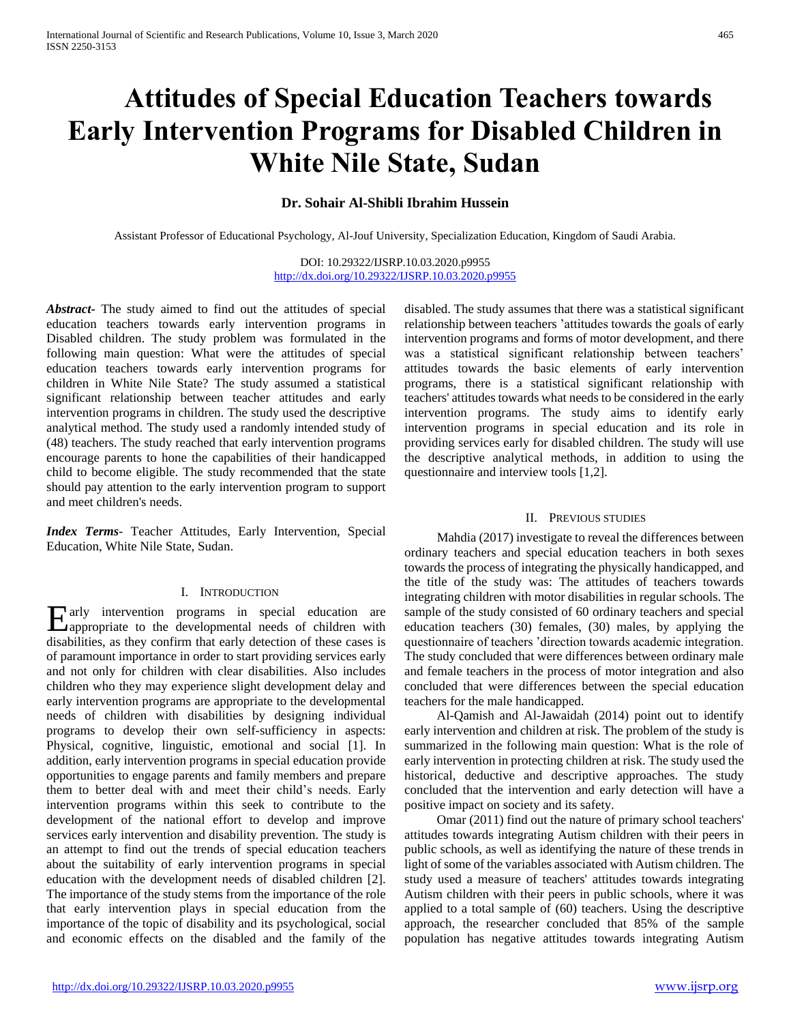# **Attitudes of Special Education Teachers towards Early Intervention Programs for Disabled Children in White Nile State, Sudan**

# **Dr. Sohair Al-Shibli Ibrahim Hussein**

Assistant Professor of Educational Psychology, Al-Jouf University, Specialization Education, Kingdom of Saudi Arabia.

DOI: 10.29322/IJSRP.10.03.2020.p9955 <http://dx.doi.org/10.29322/IJSRP.10.03.2020.p9955>

*Abstract***-** The study aimed to find out the attitudes of special education teachers towards early intervention programs in Disabled children. The study problem was formulated in the following main question: What were the attitudes of special education teachers towards early intervention programs for children in White Nile State? The study assumed a statistical significant relationship between teacher attitudes and early intervention programs in children. The study used the descriptive analytical method. The study used a randomly intended study of (48) teachers. The study reached that early intervention programs encourage parents to hone the capabilities of their handicapped child to become eligible. The study recommended that the state should pay attention to the early intervention program to support and meet children's needs.

*Index Terms*- Teacher Attitudes, Early Intervention, Special Education, White Nile State, Sudan.

#### I. INTRODUCTION

arly intervention programs in special education are Early intervention programs in special education are appropriate to the developmental needs of children with disabilities, as they confirm that early detection of these cases is of paramount importance in order to start providing services early and not only for children with clear disabilities. Also includes children who they may experience slight development delay and early intervention programs are appropriate to the developmental needs of children with disabilities by designing individual programs to develop their own self-sufficiency in aspects: Physical, cognitive, linguistic, emotional and social [1]. In addition, early intervention programs in special education provide opportunities to engage parents and family members and prepare them to better deal with and meet their child's needs. Early intervention programs within this seek to contribute to the development of the national effort to develop and improve services early intervention and disability prevention. The study is an attempt to find out the trends of special education teachers about the suitability of early intervention programs in special education with the development needs of disabled children [2]. The importance of the study stems from the importance of the role that early intervention plays in special education from the importance of the topic of disability and its psychological, social and economic effects on the disabled and the family of the

disabled. The study assumes that there was a statistical significant relationship between teachers 'attitudes towards the goals of early intervention programs and forms of motor development, and there was a statistical significant relationship between teachers' attitudes towards the basic elements of early intervention programs, there is a statistical significant relationship with teachers' attitudes towards what needs to be considered in the early intervention programs. The study aims to identify early intervention programs in special education and its role in providing services early for disabled children. The study will use the descriptive analytical methods, in addition to using the questionnaire and interview tools [1,2].

#### II. PREVIOUS STUDIES

 Mahdia (2017) investigate to reveal the differences between ordinary teachers and special education teachers in both sexes towards the process of integrating the physically handicapped, and the title of the study was: The attitudes of teachers towards integrating children with motor disabilities in regular schools. The sample of the study consisted of 60 ordinary teachers and special education teachers (30) females, (30) males, by applying the questionnaire of teachers 'direction towards academic integration. The study concluded that were differences between ordinary male and female teachers in the process of motor integration and also concluded that were differences between the special education teachers for the male handicapped.

 Al-Qamish and Al-Jawaidah (2014) point out to identify early intervention and children at risk. The problem of the study is summarized in the following main question: What is the role of early intervention in protecting children at risk. The study used the historical, deductive and descriptive approaches. The study concluded that the intervention and early detection will have a positive impact on society and its safety.

 Omar (2011) find out the nature of primary school teachers' attitudes towards integrating Autism children with their peers in public schools, as well as identifying the nature of these trends in light of some of the variables associated with Autism children. The study used a measure of teachers' attitudes towards integrating Autism children with their peers in public schools, where it was applied to a total sample of (60) teachers. Using the descriptive approach, the researcher concluded that 85% of the sample population has negative attitudes towards integrating Autism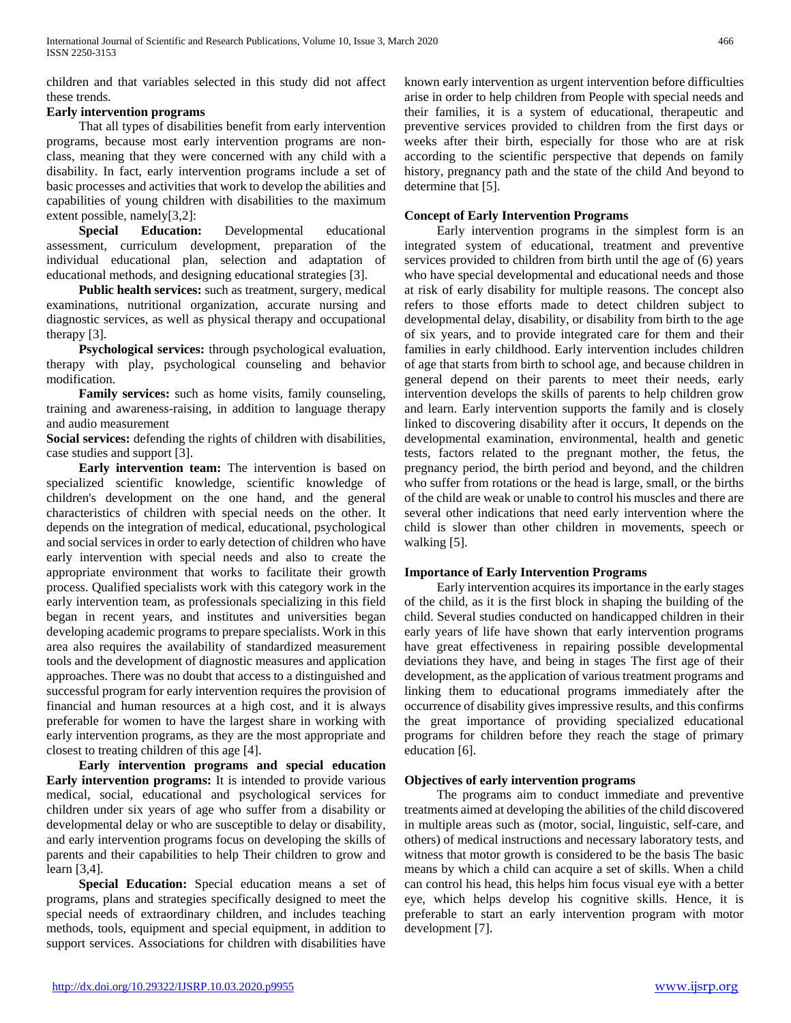children and that variables selected in this study did not affect these trends.

# **Early intervention programs**

 That all types of disabilities benefit from early intervention programs, because most early intervention programs are nonclass, meaning that they were concerned with any child with a disability. In fact, early intervention programs include a set of basic processes and activities that work to develop the abilities and capabilities of young children with disabilities to the maximum extent possible, namely[3,2]:

 **Special Education:** Developmental educational assessment, curriculum development, preparation of the individual educational plan, selection and adaptation of educational methods, and designing educational strategies [3].

 **Public health services:** such as treatment, surgery, medical examinations, nutritional organization, accurate nursing and diagnostic services, as well as physical therapy and occupational therapy [3].

 **Psychological services:** through psychological evaluation, therapy with play, psychological counseling and behavior modification.

 **Family services:** such as home visits, family counseling, training and awareness-raising, in addition to language therapy and audio measurement

**Social services:** defending the rights of children with disabilities, case studies and support [3].

 **Early intervention team:** The intervention is based on specialized scientific knowledge, scientific knowledge of children's development on the one hand, and the general characteristics of children with special needs on the other. It depends on the integration of medical, educational, psychological and social services in order to early detection of children who have early intervention with special needs and also to create the appropriate environment that works to facilitate their growth process. Qualified specialists work with this category work in the early intervention team, as professionals specializing in this field began in recent years, and institutes and universities began developing academic programs to prepare specialists. Work in this area also requires the availability of standardized measurement tools and the development of diagnostic measures and application approaches. There was no doubt that access to a distinguished and successful program for early intervention requires the provision of financial and human resources at a high cost, and it is always preferable for women to have the largest share in working with early intervention programs, as they are the most appropriate and closest to treating children of this age [4].

 **Early intervention programs and special education Early intervention programs:** It is intended to provide various medical, social, educational and psychological services for children under six years of age who suffer from a disability or developmental delay or who are susceptible to delay or disability, and early intervention programs focus on developing the skills of parents and their capabilities to help Their children to grow and learn [3,4].

 **Special Education:** Special education means a set of programs, plans and strategies specifically designed to meet the special needs of extraordinary children, and includes teaching methods, tools, equipment and special equipment, in addition to support services. Associations for children with disabilities have

known early intervention as urgent intervention before difficulties arise in order to help children from People with special needs and their families, it is a system of educational, therapeutic and preventive services provided to children from the first days or weeks after their birth, especially for those who are at risk according to the scientific perspective that depends on family history, pregnancy path and the state of the child And beyond to determine that [5].

# **Concept of Early Intervention Programs**

 Early intervention programs in the simplest form is an integrated system of educational, treatment and preventive services provided to children from birth until the age of (6) years who have special developmental and educational needs and those at risk of early disability for multiple reasons. The concept also refers to those efforts made to detect children subject to developmental delay, disability, or disability from birth to the age of six years, and to provide integrated care for them and their families in early childhood. Early intervention includes children of age that starts from birth to school age, and because children in general depend on their parents to meet their needs, early intervention develops the skills of parents to help children grow and learn. Early intervention supports the family and is closely linked to discovering disability after it occurs, It depends on the developmental examination, environmental, health and genetic tests, factors related to the pregnant mother, the fetus, the pregnancy period, the birth period and beyond, and the children who suffer from rotations or the head is large, small, or the births of the child are weak or unable to control his muscles and there are several other indications that need early intervention where the child is slower than other children in movements, speech or walking [5].

# **Importance of Early Intervention Programs**

 Early intervention acquires its importance in the early stages of the child, as it is the first block in shaping the building of the child. Several studies conducted on handicapped children in their early years of life have shown that early intervention programs have great effectiveness in repairing possible developmental deviations they have, and being in stages The first age of their development, as the application of various treatment programs and linking them to educational programs immediately after the occurrence of disability gives impressive results, and this confirms the great importance of providing specialized educational programs for children before they reach the stage of primary education [6].

# **Objectives of early intervention programs**

 The programs aim to conduct immediate and preventive treatments aimed at developing the abilities of the child discovered in multiple areas such as (motor, social, linguistic, self-care, and others) of medical instructions and necessary laboratory tests, and witness that motor growth is considered to be the basis The basic means by which a child can acquire a set of skills. When a child can control his head, this helps him focus visual eye with a better eye, which helps develop his cognitive skills. Hence, it is preferable to start an early intervention program with motor development [7].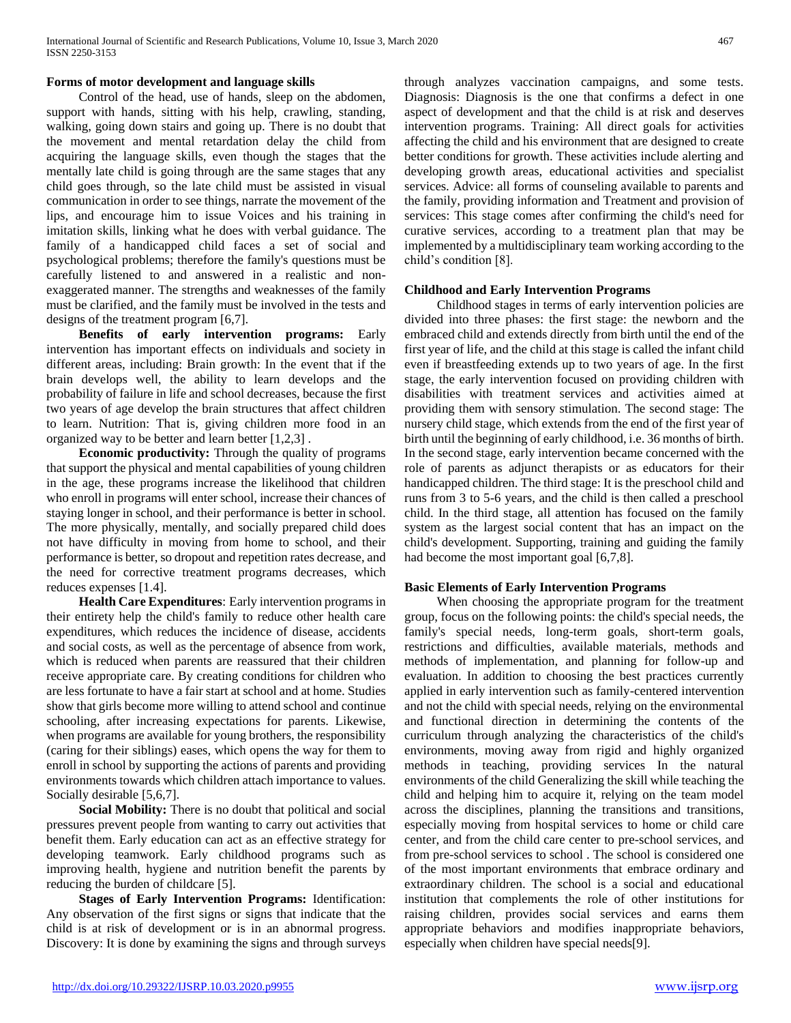# **Forms of motor development and language skills**

 Control of the head, use of hands, sleep on the abdomen, support with hands, sitting with his help, crawling, standing, walking, going down stairs and going up. There is no doubt that the movement and mental retardation delay the child from acquiring the language skills, even though the stages that the mentally late child is going through are the same stages that any child goes through, so the late child must be assisted in visual communication in order to see things, narrate the movement of the lips, and encourage him to issue Voices and his training in imitation skills, linking what he does with verbal guidance. The family of a handicapped child faces a set of social and psychological problems; therefore the family's questions must be carefully listened to and answered in a realistic and nonexaggerated manner. The strengths and weaknesses of the family must be clarified, and the family must be involved in the tests and designs of the treatment program [6,7].

 **Benefits of early intervention programs:** Early intervention has important effects on individuals and society in different areas, including: Brain growth: In the event that if the brain develops well, the ability to learn develops and the probability of failure in life and school decreases, because the first two years of age develop the brain structures that affect children to learn. Nutrition: That is, giving children more food in an organized way to be better and learn better [1,2,3] .

 **Economic productivity:** Through the quality of programs that support the physical and mental capabilities of young children in the age, these programs increase the likelihood that children who enroll in programs will enter school, increase their chances of staying longer in school, and their performance is better in school. The more physically, mentally, and socially prepared child does not have difficulty in moving from home to school, and their performance is better, so dropout and repetition rates decrease, and the need for corrective treatment programs decreases, which reduces expenses [1.4].

 **Health Care Expenditures**: Early intervention programs in their entirety help the child's family to reduce other health care expenditures, which reduces the incidence of disease, accidents and social costs, as well as the percentage of absence from work, which is reduced when parents are reassured that their children receive appropriate care. By creating conditions for children who are less fortunate to have a fair start at school and at home. Studies show that girls become more willing to attend school and continue schooling, after increasing expectations for parents. Likewise, when programs are available for young brothers, the responsibility (caring for their siblings) eases, which opens the way for them to enroll in school by supporting the actions of parents and providing environments towards which children attach importance to values. Socially desirable [5,6,7].

 **Social Mobility:** There is no doubt that political and social pressures prevent people from wanting to carry out activities that benefit them. Early education can act as an effective strategy for developing teamwork. Early childhood programs such as improving health, hygiene and nutrition benefit the parents by reducing the burden of childcare [5].

 **Stages of Early Intervention Programs:** Identification: Any observation of the first signs or signs that indicate that the child is at risk of development or is in an abnormal progress. Discovery: It is done by examining the signs and through surveys through analyzes vaccination campaigns, and some tests. Diagnosis: Diagnosis is the one that confirms a defect in one aspect of development and that the child is at risk and deserves intervention programs. Training: All direct goals for activities affecting the child and his environment that are designed to create better conditions for growth. These activities include alerting and developing growth areas, educational activities and specialist services. Advice: all forms of counseling available to parents and the family, providing information and Treatment and provision of services: This stage comes after confirming the child's need for curative services, according to a treatment plan that may be implemented by a multidisciplinary team working according to the child's condition [8].

## **Childhood and Early Intervention Programs**

 Childhood stages in terms of early intervention policies are divided into three phases: the first stage: the newborn and the embraced child and extends directly from birth until the end of the first year of life, and the child at this stage is called the infant child even if breastfeeding extends up to two years of age. In the first stage, the early intervention focused on providing children with disabilities with treatment services and activities aimed at providing them with sensory stimulation. The second stage: The nursery child stage, which extends from the end of the first year of birth until the beginning of early childhood, i.e. 36 months of birth. In the second stage, early intervention became concerned with the role of parents as adjunct therapists or as educators for their handicapped children. The third stage: It is the preschool child and runs from 3 to 5-6 years, and the child is then called a preschool child. In the third stage, all attention has focused on the family system as the largest social content that has an impact on the child's development. Supporting, training and guiding the family had become the most important goal [6,7,8].

## **Basic Elements of Early Intervention Programs**

 When choosing the appropriate program for the treatment group, focus on the following points: the child's special needs, the family's special needs, long-term goals, short-term goals, restrictions and difficulties, available materials, methods and methods of implementation, and planning for follow-up and evaluation. In addition to choosing the best practices currently applied in early intervention such as family-centered intervention and not the child with special needs, relying on the environmental and functional direction in determining the contents of the curriculum through analyzing the characteristics of the child's environments, moving away from rigid and highly organized methods in teaching, providing services In the natural environments of the child Generalizing the skill while teaching the child and helping him to acquire it, relying on the team model across the disciplines, planning the transitions and transitions, especially moving from hospital services to home or child care center, and from the child care center to pre-school services, and from pre-school services to school . The school is considered one of the most important environments that embrace ordinary and extraordinary children. The school is a social and educational institution that complements the role of other institutions for raising children, provides social services and earns them appropriate behaviors and modifies inappropriate behaviors, especially when children have special needs[9].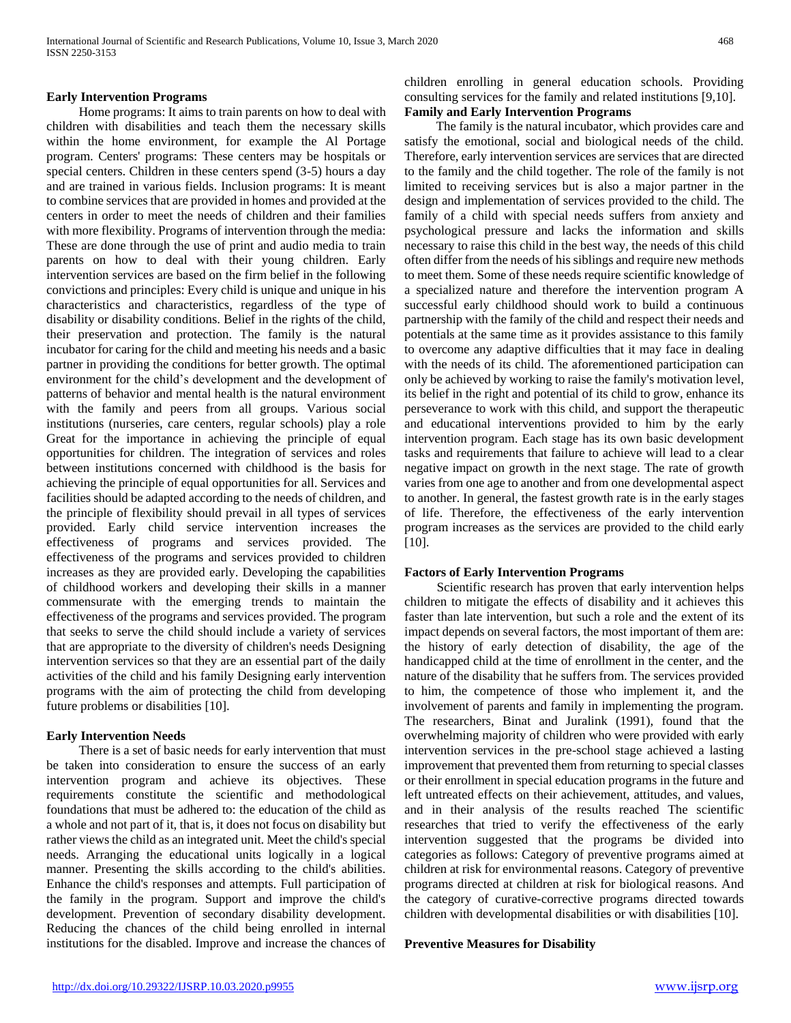#### **Early Intervention Programs**

 Home programs: It aims to train parents on how to deal with children with disabilities and teach them the necessary skills within the home environment, for example the Al Portage program. Centers' programs: These centers may be hospitals or special centers. Children in these centers spend (3-5) hours a day and are trained in various fields. Inclusion programs: It is meant to combine services that are provided in homes and provided at the centers in order to meet the needs of children and their families with more flexibility. Programs of intervention through the media: These are done through the use of print and audio media to train parents on how to deal with their young children. Early intervention services are based on the firm belief in the following convictions and principles: Every child is unique and unique in his characteristics and characteristics, regardless of the type of disability or disability conditions. Belief in the rights of the child, their preservation and protection. The family is the natural incubator for caring for the child and meeting his needs and a basic partner in providing the conditions for better growth. The optimal environment for the child's development and the development of patterns of behavior and mental health is the natural environment with the family and peers from all groups. Various social institutions (nurseries, care centers, regular schools) play a role Great for the importance in achieving the principle of equal opportunities for children. The integration of services and roles between institutions concerned with childhood is the basis for achieving the principle of equal opportunities for all. Services and facilities should be adapted according to the needs of children, and the principle of flexibility should prevail in all types of services provided. Early child service intervention increases the effectiveness of programs and services provided. The effectiveness of the programs and services provided to children increases as they are provided early. Developing the capabilities of childhood workers and developing their skills in a manner commensurate with the emerging trends to maintain the effectiveness of the programs and services provided. The program that seeks to serve the child should include a variety of services that are appropriate to the diversity of children's needs Designing intervention services so that they are an essential part of the daily activities of the child and his family Designing early intervention programs with the aim of protecting the child from developing future problems or disabilities [10].

#### **Early Intervention Needs**

 There is a set of basic needs for early intervention that must be taken into consideration to ensure the success of an early intervention program and achieve its objectives. These requirements constitute the scientific and methodological foundations that must be adhered to: the education of the child as a whole and not part of it, that is, it does not focus on disability but rather views the child as an integrated unit. Meet the child's special needs. Arranging the educational units logically in a logical manner. Presenting the skills according to the child's abilities. Enhance the child's responses and attempts. Full participation of the family in the program. Support and improve the child's development. Prevention of secondary disability development. Reducing the chances of the child being enrolled in internal institutions for the disabled. Improve and increase the chances of children enrolling in general education schools. Providing consulting services for the family and related institutions [9,10]. **Family and Early Intervention Programs**

 The family is the natural incubator, which provides care and satisfy the emotional, social and biological needs of the child. Therefore, early intervention services are services that are directed to the family and the child together. The role of the family is not limited to receiving services but is also a major partner in the design and implementation of services provided to the child. The family of a child with special needs suffers from anxiety and psychological pressure and lacks the information and skills necessary to raise this child in the best way, the needs of this child often differ from the needs of his siblings and require new methods to meet them. Some of these needs require scientific knowledge of a specialized nature and therefore the intervention program A successful early childhood should work to build a continuous partnership with the family of the child and respect their needs and potentials at the same time as it provides assistance to this family to overcome any adaptive difficulties that it may face in dealing with the needs of its child. The aforementioned participation can only be achieved by working to raise the family's motivation level, its belief in the right and potential of its child to grow, enhance its perseverance to work with this child, and support the therapeutic and educational interventions provided to him by the early intervention program. Each stage has its own basic development tasks and requirements that failure to achieve will lead to a clear negative impact on growth in the next stage. The rate of growth varies from one age to another and from one developmental aspect to another. In general, the fastest growth rate is in the early stages of life. Therefore, the effectiveness of the early intervention program increases as the services are provided to the child early [10].

#### **Factors of Early Intervention Programs**

 Scientific research has proven that early intervention helps children to mitigate the effects of disability and it achieves this faster than late intervention, but such a role and the extent of its impact depends on several factors, the most important of them are: the history of early detection of disability, the age of the handicapped child at the time of enrollment in the center, and the nature of the disability that he suffers from. The services provided to him, the competence of those who implement it, and the involvement of parents and family in implementing the program. The researchers, Binat and Juralink (1991), found that the overwhelming majority of children who were provided with early intervention services in the pre-school stage achieved a lasting improvement that prevented them from returning to special classes or their enrollment in special education programs in the future and left untreated effects on their achievement, attitudes, and values, and in their analysis of the results reached The scientific researches that tried to verify the effectiveness of the early intervention suggested that the programs be divided into categories as follows: Category of preventive programs aimed at children at risk for environmental reasons. Category of preventive programs directed at children at risk for biological reasons. And the category of curative-corrective programs directed towards children with developmental disabilities or with disabilities [10].

### **Preventive Measures for Disability**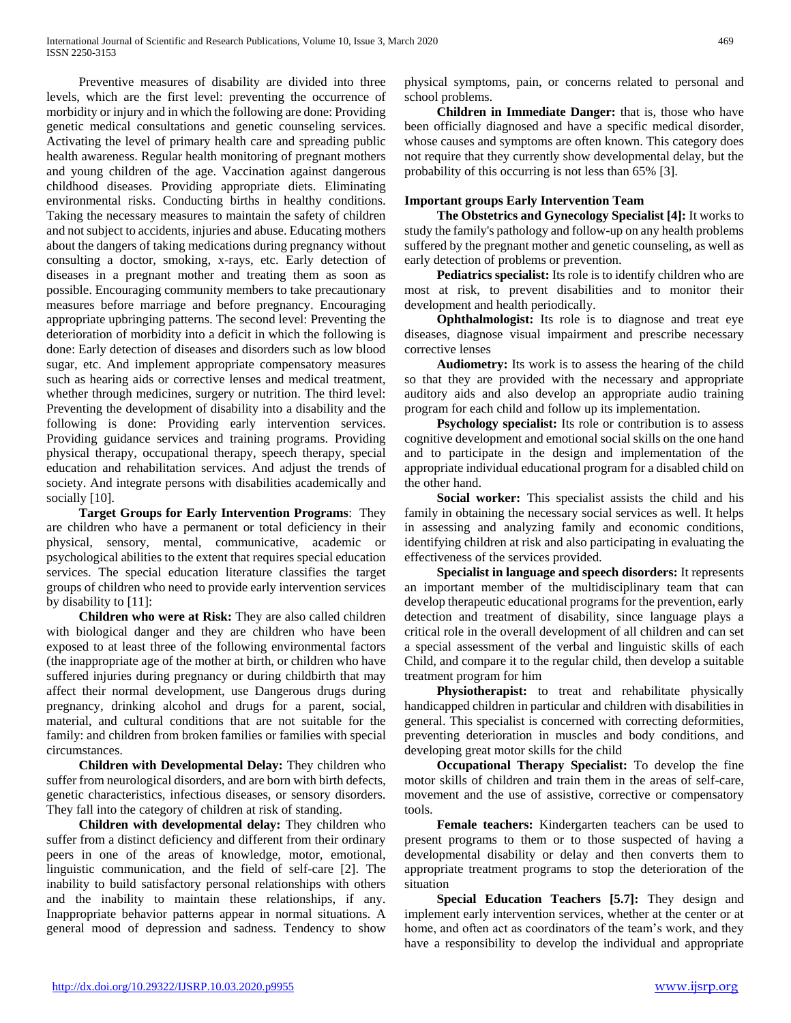Preventive measures of disability are divided into three levels, which are the first level: preventing the occurrence of morbidity or injury and in which the following are done: Providing genetic medical consultations and genetic counseling services. Activating the level of primary health care and spreading public health awareness. Regular health monitoring of pregnant mothers and young children of the age. Vaccination against dangerous childhood diseases. Providing appropriate diets. Eliminating environmental risks. Conducting births in healthy conditions. Taking the necessary measures to maintain the safety of children and not subject to accidents, injuries and abuse. Educating mothers about the dangers of taking medications during pregnancy without consulting a doctor, smoking, x-rays, etc. Early detection of diseases in a pregnant mother and treating them as soon as possible. Encouraging community members to take precautionary measures before marriage and before pregnancy. Encouraging appropriate upbringing patterns. The second level: Preventing the deterioration of morbidity into a deficit in which the following is done: Early detection of diseases and disorders such as low blood sugar, etc. And implement appropriate compensatory measures such as hearing aids or corrective lenses and medical treatment, whether through medicines, surgery or nutrition. The third level: Preventing the development of disability into a disability and the following is done: Providing early intervention services. Providing guidance services and training programs. Providing physical therapy, occupational therapy, speech therapy, special education and rehabilitation services. And adjust the trends of society. And integrate persons with disabilities academically and socially [10].

 **Target Groups for Early Intervention Programs**: They are children who have a permanent or total deficiency in their physical, sensory, mental, communicative, academic or psychological abilities to the extent that requires special education services. The special education literature classifies the target groups of children who need to provide early intervention services by disability to [11]:

 **Children who were at Risk:** They are also called children with biological danger and they are children who have been exposed to at least three of the following environmental factors (the inappropriate age of the mother at birth, or children who have suffered injuries during pregnancy or during childbirth that may affect their normal development, use Dangerous drugs during pregnancy, drinking alcohol and drugs for a parent, social, material, and cultural conditions that are not suitable for the family: and children from broken families or families with special circumstances.

 **Children with Developmental Delay:** They children who suffer from neurological disorders, and are born with birth defects, genetic characteristics, infectious diseases, or sensory disorders. They fall into the category of children at risk of standing.

 **Children with developmental delay:** They children who suffer from a distinct deficiency and different from their ordinary peers in one of the areas of knowledge, motor, emotional, linguistic communication, and the field of self-care [2]. The inability to build satisfactory personal relationships with others and the inability to maintain these relationships, if any. Inappropriate behavior patterns appear in normal situations. A general mood of depression and sadness. Tendency to show

physical symptoms, pain, or concerns related to personal and school problems.

 **Children in Immediate Danger:** that is, those who have been officially diagnosed and have a specific medical disorder, whose causes and symptoms are often known. This category does not require that they currently show developmental delay, but the probability of this occurring is not less than 65% [3].

# **Important groups Early Intervention Team**

 **The Obstetrics and Gynecology Specialist [4]:** It works to study the family's pathology and follow-up on any health problems suffered by the pregnant mother and genetic counseling, as well as early detection of problems or prevention.

 **Pediatrics specialist:** Its role is to identify children who are most at risk, to prevent disabilities and to monitor their development and health periodically.

 **Ophthalmologist:** Its role is to diagnose and treat eye diseases, diagnose visual impairment and prescribe necessary corrective lenses

 **Audiometry:** Its work is to assess the hearing of the child so that they are provided with the necessary and appropriate auditory aids and also develop an appropriate audio training program for each child and follow up its implementation.

**Psychology specialist:** Its role or contribution is to assess cognitive development and emotional social skills on the one hand and to participate in the design and implementation of the appropriate individual educational program for a disabled child on the other hand.

 **Social worker:** This specialist assists the child and his family in obtaining the necessary social services as well. It helps in assessing and analyzing family and economic conditions, identifying children at risk and also participating in evaluating the effectiveness of the services provided.

 **Specialist in language and speech disorders:** It represents an important member of the multidisciplinary team that can develop therapeutic educational programs for the prevention, early detection and treatment of disability, since language plays a critical role in the overall development of all children and can set a special assessment of the verbal and linguistic skills of each Child, and compare it to the regular child, then develop a suitable treatment program for him

**Physiotherapist:** to treat and rehabilitate physically handicapped children in particular and children with disabilities in general. This specialist is concerned with correcting deformities, preventing deterioration in muscles and body conditions, and developing great motor skills for the child

 **Occupational Therapy Specialist:** To develop the fine motor skills of children and train them in the areas of self-care, movement and the use of assistive, corrective or compensatory tools.

 **Female teachers:** Kindergarten teachers can be used to present programs to them or to those suspected of having a developmental disability or delay and then converts them to appropriate treatment programs to stop the deterioration of the situation

 **Special Education Teachers [5.7]:** They design and implement early intervention services, whether at the center or at home, and often act as coordinators of the team's work, and they have a responsibility to develop the individual and appropriate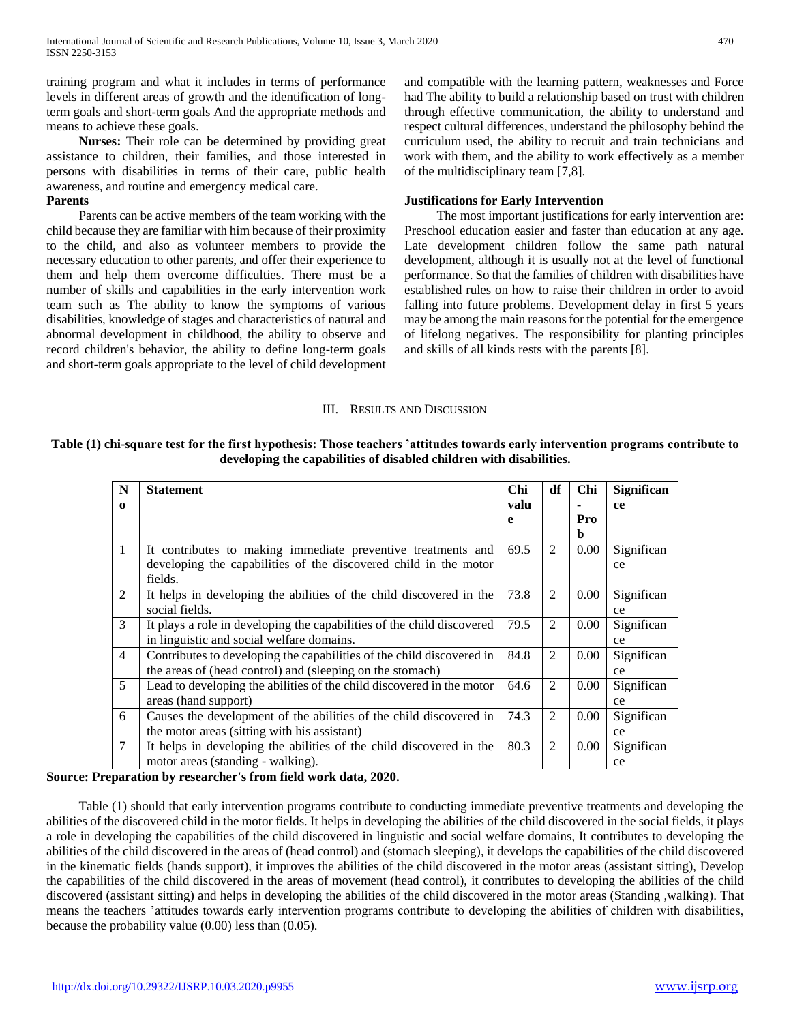training program and what it includes in terms of performance levels in different areas of growth and the identification of longterm goals and short-term goals And the appropriate methods and means to achieve these goals.

 **Nurses:** Their role can be determined by providing great assistance to children, their families, and those interested in persons with disabilities in terms of their care, public health awareness, and routine and emergency medical care.

#### **Parents**

 Parents can be active members of the team working with the child because they are familiar with him because of their proximity to the child, and also as volunteer members to provide the necessary education to other parents, and offer their experience to them and help them overcome difficulties. There must be a number of skills and capabilities in the early intervention work team such as The ability to know the symptoms of various disabilities, knowledge of stages and characteristics of natural and abnormal development in childhood, the ability to observe and record children's behavior, the ability to define long-term goals and short-term goals appropriate to the level of child development and compatible with the learning pattern, weaknesses and Force had The ability to build a relationship based on trust with children through effective communication, the ability to understand and respect cultural differences, understand the philosophy behind the curriculum used, the ability to recruit and train technicians and work with them, and the ability to work effectively as a member of the multidisciplinary team [7,8].

### **Justifications for Early Intervention**

 The most important justifications for early intervention are: Preschool education easier and faster than education at any age. Late development children follow the same path natural development, although it is usually not at the level of functional performance. So that the families of children with disabilities have established rules on how to raise their children in order to avoid falling into future problems. Development delay in first 5 years may be among the main reasons for the potential for the emergence of lifelong negatives. The responsibility for planting principles and skills of all kinds rests with the parents [8].

#### III. RESULTS AND DISCUSSION

# **Table (1) chi-square test for the first hypothesis: Those teachers 'attitudes towards early intervention programs contribute to developing the capabilities of disabled children with disabilities.**

| N              | <b>Statement</b>                                                       | <b>Chi</b> | df | Chi      | Significan |
|----------------|------------------------------------------------------------------------|------------|----|----------|------------|
| $\mathbf o$    |                                                                        | valu       |    |          | ce         |
|                |                                                                        | e          |    | Pro      |            |
|                |                                                                        |            |    | b        |            |
| $\mathbf{1}$   | It contributes to making immediate preventive treatments and           | 69.5       | 2  | 0.00     | Significan |
|                | developing the capabilities of the discovered child in the motor       |            |    |          | ce         |
|                | fields.                                                                |            |    |          |            |
| 2              | It helps in developing the abilities of the child discovered in the    | 73.8       | 2  | $0.00\,$ | Significan |
|                | social fields.                                                         |            |    |          | ce         |
| 3              | It plays a role in developing the capabilities of the child discovered | 79.5       | 2  | 0.00     | Significan |
|                | in linguistic and social welfare domains.                              |            |    |          | ce         |
| $\overline{4}$ | Contributes to developing the capabilities of the child discovered in  | 84.8       | 2  | 0.00     | Significan |
|                | the areas of (head control) and (sleeping on the stomach)              |            |    |          | ce         |
| $5^{\circ}$    | Lead to developing the abilities of the child discovered in the motor  | 64.6       | 2  | 0.00     | Significan |
|                | areas (hand support)                                                   |            |    |          | ce         |
| 6              | Causes the development of the abilities of the child discovered in     | 74.3       | 2  | 0.00     | Significan |
|                | the motor areas (sitting with his assistant)                           |            |    |          | ce         |
| $\tau$         | It helps in developing the abilities of the child discovered in the    | 80.3       | 2  | $0.00\,$ | Significan |
|                | motor areas (standing - walking).                                      |            |    |          | ce         |

## **Source: Preparation by researcher's from field work data, 2020.**

 Table (1) should that early intervention programs contribute to conducting immediate preventive treatments and developing the abilities of the discovered child in the motor fields. It helps in developing the abilities of the child discovered in the social fields, it plays a role in developing the capabilities of the child discovered in linguistic and social welfare domains, It contributes to developing the abilities of the child discovered in the areas of (head control) and (stomach sleeping), it develops the capabilities of the child discovered in the kinematic fields (hands support), it improves the abilities of the child discovered in the motor areas (assistant sitting), Develop the capabilities of the child discovered in the areas of movement (head control), it contributes to developing the abilities of the child discovered (assistant sitting) and helps in developing the abilities of the child discovered in the motor areas (Standing ,walking). That means the teachers 'attitudes towards early intervention programs contribute to developing the abilities of children with disabilities, because the probability value (0.00) less than (0.05).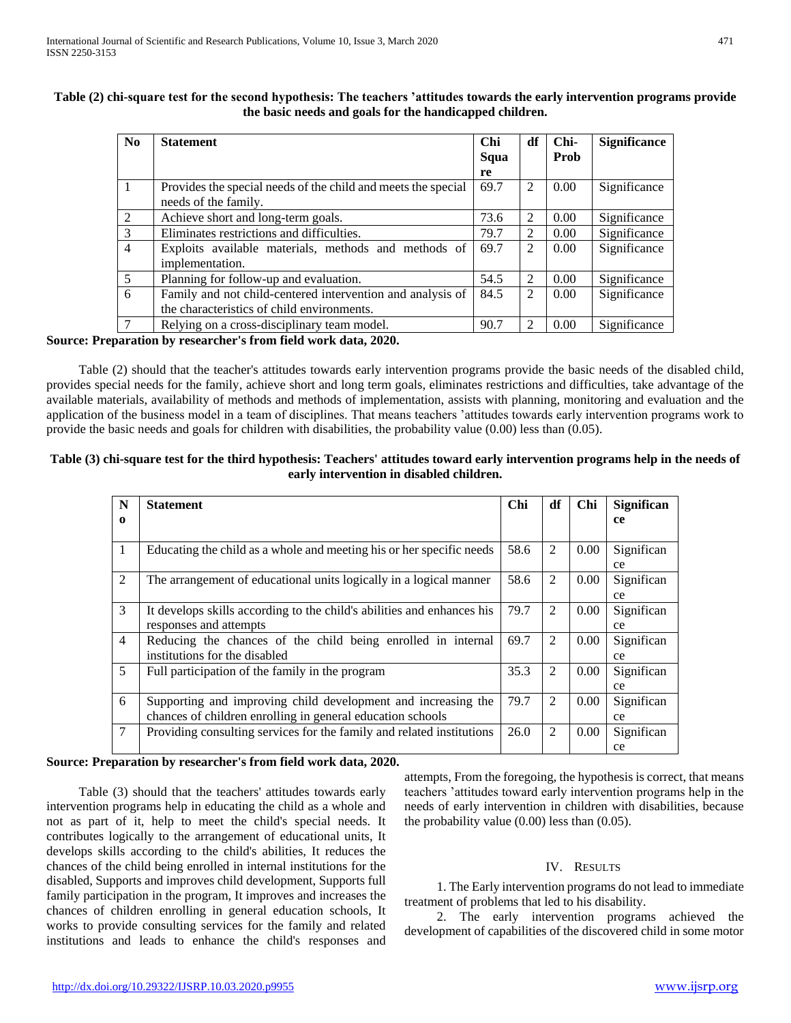|  | ۰ |  |
|--|---|--|
|  |   |  |

| N <sub>0</sub> | <b>Statement</b>                                              | Chi  | df             | Chi- | <b>Significance</b> |
|----------------|---------------------------------------------------------------|------|----------------|------|---------------------|
|                |                                                               | Squa |                | Prob |                     |
|                |                                                               | re   |                |      |                     |
|                | Provides the special needs of the child and meets the special | 69.7 | 2              | 0.00 | Significance        |
|                | needs of the family.                                          |      |                |      |                     |
| 2              | Achieve short and long-term goals.                            | 73.6 | 2              | 0.00 | Significance        |
| 3              | Eliminates restrictions and difficulties.                     | 79.7 | $\mathfrak{D}$ | 0.00 | Significance        |
| $\overline{4}$ | Exploits available materials, methods and methods of          | 69.7 | 2              | 0.00 | Significance        |
|                | implementation.                                               |      |                |      |                     |
| 5              | Planning for follow-up and evaluation.                        | 54.5 | $\mathfrak{D}$ | 0.00 | Significance        |
| 6              | Family and not child-centered intervention and analysis of    | 84.5 | 2              | 0.00 | Significance        |
|                | the characteristics of child environments.                    |      |                |      |                     |
| 7              | Relying on a cross-disciplinary team model.                   | 90.7 | 2              | 0.00 | Significance        |

# **Table (2) chi-square test for the second hypothesis: The teachers 'attitudes towards the early intervention programs provide the basic needs and goals for the handicapped children.**

## **Source: Preparation by researcher's from field work data, 2020.**

 Table (2) should that the teacher's attitudes towards early intervention programs provide the basic needs of the disabled child, provides special needs for the family, achieve short and long term goals, eliminates restrictions and difficulties, take advantage of the available materials, availability of methods and methods of implementation, assists with planning, monitoring and evaluation and the application of the business model in a team of disciplines. That means teachers 'attitudes towards early intervention programs work to provide the basic needs and goals for children with disabilities, the probability value (0.00) less than (0.05).

# **Table (3) chi-square test for the third hypothesis: Teachers' attitudes toward early intervention programs help in the needs of early intervention in disabled children.**

| N              | <b>Statement</b>                                                       | Chi  | df             | Chi  | <b>Significan</b> |
|----------------|------------------------------------------------------------------------|------|----------------|------|-------------------|
| $\Omega$       |                                                                        |      |                |      | ce                |
|                |                                                                        |      |                |      |                   |
| $\mathbf{1}$   | Educating the child as a whole and meeting his or her specific needs   | 58.6 | 2              | 0.00 | Significan        |
|                |                                                                        |      |                |      | ce                |
| 2              | The arrangement of educational units logically in a logical manner     | 58.6 | $\overline{2}$ | 0.00 | Significan        |
|                |                                                                        |      |                |      | ce                |
| 3              | It develops skills according to the child's abilities and enhances his | 79.7 | $\overline{2}$ | 0.00 | Significan        |
|                | responses and attempts                                                 |      |                |      | ce                |
| $\overline{4}$ | Reducing the chances of the child being enrolled in internal           | 69.7 | 2              | 0.00 | Significan        |
|                | institutions for the disabled                                          |      |                |      | ce                |
| 5              | Full participation of the family in the program                        | 35.3 | $\overline{2}$ | 0.00 | Significan        |
|                |                                                                        |      |                |      | ce                |
| 6              | Supporting and improving child development and increasing the          | 79.7 | $\overline{2}$ | 0.00 | Significan        |
|                | chances of children enrolling in general education schools             |      |                |      | ce                |
| $\overline{7}$ | Providing consulting services for the family and related institutions  | 26.0 | $\overline{2}$ | 0.00 | Significan        |
|                |                                                                        |      |                |      | ce                |

## **Source: Preparation by researcher's from field work data, 2020.**

 Table (3) should that the teachers' attitudes towards early intervention programs help in educating the child as a whole and not as part of it, help to meet the child's special needs. It contributes logically to the arrangement of educational units, It develops skills according to the child's abilities, It reduces the chances of the child being enrolled in internal institutions for the disabled, Supports and improves child development, Supports full family participation in the program, It improves and increases the chances of children enrolling in general education schools, It works to provide consulting services for the family and related institutions and leads to enhance the child's responses and attempts, From the foregoing, the hypothesis is correct, that means teachers 'attitudes toward early intervention programs help in the needs of early intervention in children with disabilities, because the probability value  $(0.00)$  less than  $(0.05)$ .

# IV. RESULTS

 1. The Early intervention programs do not lead to immediate treatment of problems that led to his disability.

 2. The early intervention programs achieved the development of capabilities of the discovered child in some motor